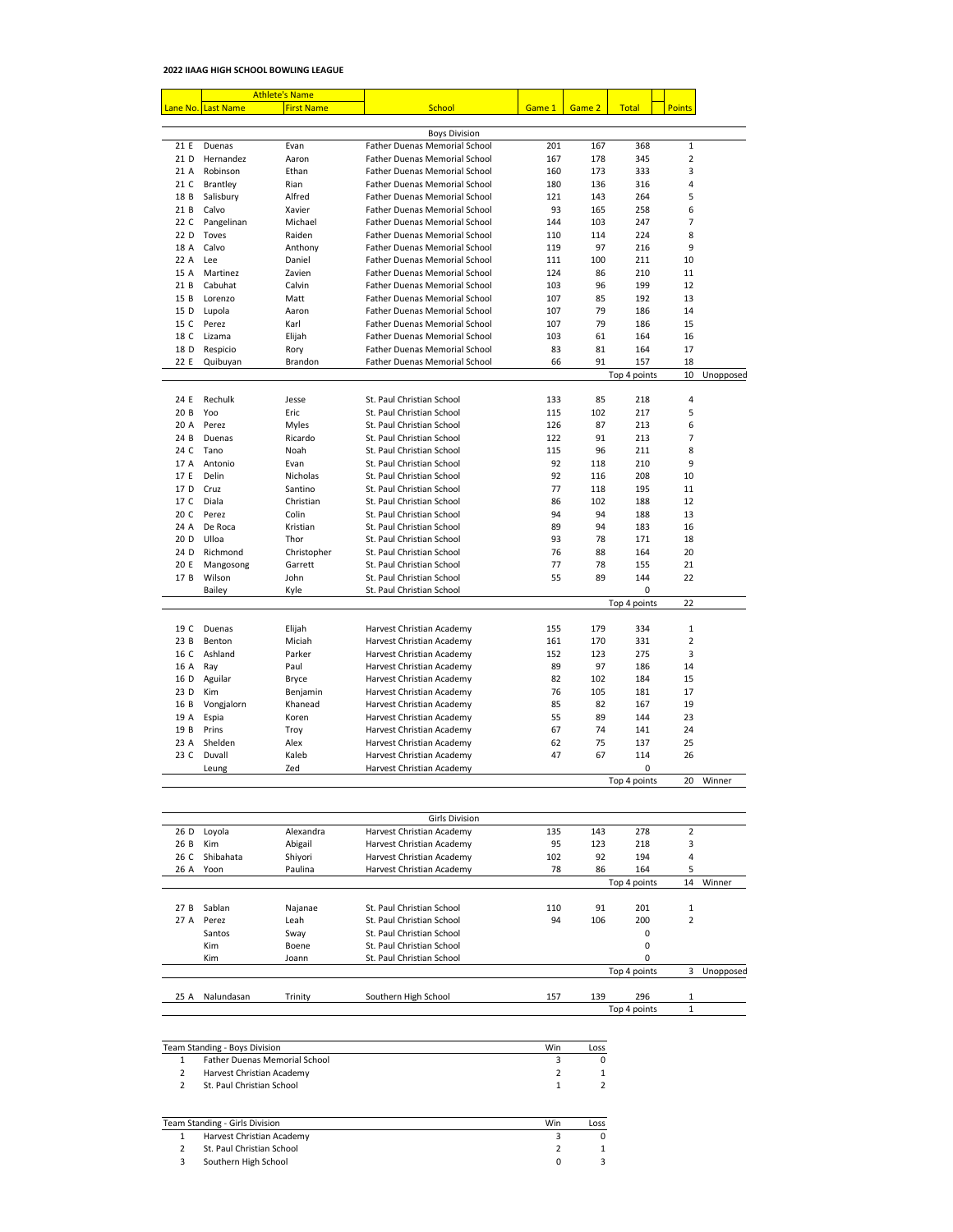## **2022 IIAAG HIGH SCHOOL BOWLING LEAGUE**

|      | <b>Athlete's Name</b> |                   |                                      |        |        |              |                |           |
|------|-----------------------|-------------------|--------------------------------------|--------|--------|--------------|----------------|-----------|
|      | Lane No. Last Name    | <b>First Name</b> | <b>School</b>                        | Game 1 | Game 2 | <b>Total</b> | <b>Points</b>  |           |
|      |                       |                   |                                      |        |        |              |                |           |
|      |                       |                   | <b>Boys Division</b>                 |        |        |              |                |           |
| 21 E | Duenas                | Evan              | <b>Father Duenas Memorial School</b> | 201    | 167    | 368          | $\mathbf{1}$   |           |
| 21 D | Hernandez             | Aaron             | <b>Father Duenas Memorial School</b> | 167    | 178    | 345          | 2              |           |
| 21 A | Robinson              | Ethan             | <b>Father Duenas Memorial School</b> | 160    | 173    | 333          | 3              |           |
| 21 C | Brantley              | Rian              | <b>Father Duenas Memorial School</b> | 180    | 136    | 316          | 4              |           |
| 18 B | Salisbury             | Alfred            | <b>Father Duenas Memorial School</b> | 121    | 143    | 264          | 5              |           |
| 21B  | Calvo                 | Xavier            | <b>Father Duenas Memorial School</b> | 93     | 165    | 258          | 6              |           |
| 22 C | Pangelinan            | Michael           | <b>Father Duenas Memorial School</b> | 144    | 103    | 247          | 7              |           |
| 22 D | Toves                 | Raiden            | <b>Father Duenas Memorial School</b> | 110    | 114    | 224          | 8              |           |
| 18 A | Calvo                 | Anthony           | <b>Father Duenas Memorial School</b> | 119    | 97     | 216          | 9              |           |
| 22 A | Lee                   | Daniel            | <b>Father Duenas Memorial School</b> | 111    | 100    | 211          | 10             |           |
| 15 A | Martinez              | Zavien            | <b>Father Duenas Memorial School</b> | 124    | 86     | 210          | 11             |           |
| 21B  | Cabuhat               | Calvin            | <b>Father Duenas Memorial School</b> | 103    | 96     | 199          | 12             |           |
| 15B  | Lorenzo               | Matt              | <b>Father Duenas Memorial School</b> | 107    | 85     | 192          | 13             |           |
| 15 D | Lupola                | Aaron             | <b>Father Duenas Memorial School</b> | 107    | 79     | 186          | 14             |           |
| 15 C | Perez                 | Karl              | <b>Father Duenas Memorial School</b> | 107    | 79     | 186          | 15             |           |
| 18 C | Lizama                | Elijah            | <b>Father Duenas Memorial School</b> | 103    | 61     | 164          | 16             |           |
| 18 D | Respicio              | Rory              | <b>Father Duenas Memorial School</b> | 83     | 81     | 164          | 17             |           |
| 22 E | Quibuyan              | <b>Brandon</b>    | <b>Father Duenas Memorial School</b> | 66     | 91     | 157          | 18             |           |
|      |                       |                   |                                      |        |        | Top 4 points | 10             | Unopposed |
|      |                       |                   |                                      |        |        |              |                |           |
| 24 E | Rechulk               | Jesse             | St. Paul Christian School            | 133    | 85     | 218          | 4              |           |
| 20B  | Yoo                   | Eric              | St. Paul Christian School            | 115    | 102    | 217          | 5              |           |
| 20 A | Perez                 | <b>Myles</b>      | St. Paul Christian School            | 126    | 87     | 213          | 6              |           |
| 24 B | Duenas                | Ricardo           | St. Paul Christian School            | 122    | 91     | 213          | $\overline{7}$ |           |
| 24 C | Tano                  | Noah              | St. Paul Christian School            | 115    | 96     | 211          | 8              |           |
| 17 A | Antonio               | Evan              | St. Paul Christian School            | 92     | 118    | 210          | 9              |           |
| 17 E | Delin                 | Nicholas          | St. Paul Christian School            | 92     | 116    | 208          | 10             |           |
| 17 D | Cruz                  | Santino           | St. Paul Christian School            | 77     | 118    | 195          | 11             |           |
| 17 C | Diala                 | Christian         | St. Paul Christian School            | 86     | 102    | 188          | 12             |           |
| 20 C | Perez                 | Colin             | St. Paul Christian School            | 94     | 94     | 188          | 13             |           |
| 24 A | De Roca               | Kristian          | St. Paul Christian School            | 89     | 94     | 183          | 16             |           |
| 20 D | Ulloa                 | Thor              | St. Paul Christian School            | 93     | 78     | 171          | 18             |           |
| 24 D | Richmond              | Christopher       | St. Paul Christian School            | 76     | 88     | 164          | 20             |           |
| 20 E | Mangosong             | Garrett           | St. Paul Christian School            | 77     | 78     | 155          | 21             |           |
| 17 B | Wilson                | John              | St. Paul Christian School            | 55     | 89     | 144          | 22             |           |
|      | <b>Bailey</b>         | Kyle              | St. Paul Christian School            |        |        | 0            |                |           |
|      |                       |                   |                                      |        |        | Top 4 points | 22             |           |
|      |                       |                   |                                      |        |        |              |                |           |
| 19 C | Duenas                | Elijah            | Harvest Christian Academy            | 155    | 179    | 334          | $\mathbf{1}$   |           |
| 23B  | Benton                | Miciah            | Harvest Christian Academy            | 161    | 170    | 331          | $\overline{2}$ |           |
| 16 C | Ashland               | Parker            | Harvest Christian Academy            | 152    | 123    | 275          | 3              |           |
| 16 A | Ray                   | Paul              | Harvest Christian Academy            | 89     | 97     | 186          | 14             |           |
| 16 D | Aguilar               | <b>Bryce</b>      | Harvest Christian Academy            | 82     | 102    | 184          | 15             |           |
| 23 D | Kim                   | Benjamin          | Harvest Christian Academy            | 76     | 105    | 181          | 17             |           |
| 16 B | Vongjalorn            | Khanead           | Harvest Christian Academy            | 85     | 82     | 167          | 19             |           |
| 19 A | Espia                 | Koren             | Harvest Christian Academy            | 55     | 89     | 144          | 23             |           |
| 19 B | Prins                 | Troy              | Harvest Christian Academy            | 67     | 74     | 141          | 24             |           |
| 23 A | Shelden               | Alex              | Harvest Christian Academy            | 62     | 75     | 137          | 25             |           |
| 23 C | Duvall                | Kaleb             | Harvest Christian Academy            | 47     | 67     | 114          | 26             |           |
|      | Leung                 | Zed               | Harvest Christian Academy            |        |        | 0            |                |           |
|      |                       |                   |                                      |        |        | Top 4 points | 20             | Winner    |

|      |              |              | <b>Girls Division</b>     |     |                   |              |                |           |
|------|--------------|--------------|---------------------------|-----|-------------------|--------------|----------------|-----------|
| 26 D | Loyola       | Alexandra    | Harvest Christian Academy | 135 | 143               | 278          | 2              |           |
| 26 B | Kim          | Abigail      | Harvest Christian Academy | 95  | 123               | 218          | 3              |           |
| 26 C | Shibahata    | Shiyori      | Harvest Christian Academy | 102 | 92                | 194          | 4              |           |
| 26 A | Yoon         | Paulina      | Harvest Christian Academy | 78  | 86                | 164          | 5              |           |
|      | Top 4 points |              |                           | 14  | Winner            |              |                |           |
|      |              |              |                           |     |                   |              |                |           |
| 27B  | Sablan       | Najanae      | St. Paul Christian School | 110 | 91                | 201          | 1              |           |
| 27A  | Perez        | Leah         | St. Paul Christian School | 94  | 106               | 200          | $\overline{2}$ |           |
|      | Santos       | Sway         | St. Paul Christian School |     |                   | 0            |                |           |
|      | Kim          | <b>Boene</b> | St. Paul Christian School |     |                   | 0            |                |           |
|      | Kim          | Joann        | St. Paul Christian School |     |                   | 0            |                |           |
|      |              |              |                           |     |                   | Top 4 points | 3              | Unopposed |
| 25 A | Nalundasan   | Trinity      | Southern High School      | 157 | 139               | 296          | $\mathbf{1}$   |           |
|      |              |              |                           |     | Top 4 points<br>1 |              |                |           |

| Team Standing - Boys Division |                                      |  | LOSS |
|-------------------------------|--------------------------------------|--|------|
|                               | <b>Father Duenas Memorial School</b> |  |      |
|                               | Harvest Christian Academy            |  |      |
|                               | St. Paul Christian School            |  |      |

| <b>Team Standing - Girls Division</b> |                           |  | Loss |
|---------------------------------------|---------------------------|--|------|
|                                       | Harvest Christian Academy |  |      |
|                                       | St. Paul Christian School |  |      |
|                                       | Southern High School      |  |      |